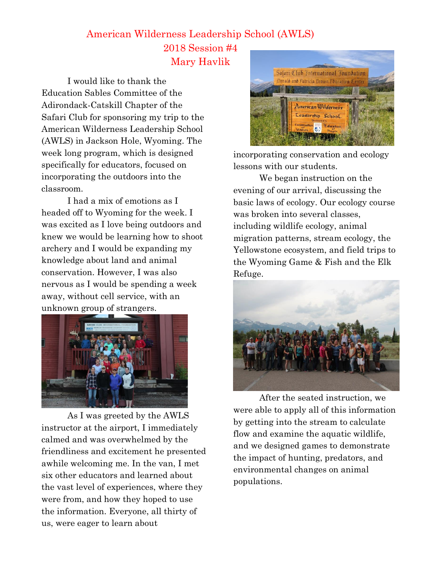## American Wilderness Leadership School (AWLS) 2018 Session #4 Mary Havlik

I would like to thank the Education Sables Committee of the Adirondack-Catskill Chapter of the Safari Club for sponsoring my trip to the American Wilderness Leadership School (AWLS) in Jackson Hole, Wyoming. The week long program, which is designed specifically for educators, focused on incorporating the outdoors into the classroom.

I had a mix of emotions as I headed off to Wyoming for the week. I was excited as I love being outdoors and knew we would be learning how to shoot archery and I would be expanding my knowledge about land and animal conservation. However, I was also nervous as I would be spending a week away, without cell service, with an unknown group of strangers.



As I was greeted by the AWLS instructor at the airport, I immediately calmed and was overwhelmed by the friendliness and excitement he presented awhile welcoming me. In the van, I met six other educators and learned about the vast level of experiences, where they were from, and how they hoped to use the information. Everyone, all thirty of us, were eager to learn about



incorporating conservation and ecology lessons with our students.

We began instruction on the evening of our arrival, discussing the basic laws of ecology. Our ecology course was broken into several classes, including wildlife ecology, animal migration patterns, stream ecology, the Yellowstone ecosystem, and field trips to the Wyoming Game & Fish and the Elk Refuge.



After the seated instruction, we were able to apply all of this information by getting into the stream to calculate flow and examine the aquatic wildlife, and we designed games to demonstrate the impact of hunting, predators, and environmental changes on animal populations.